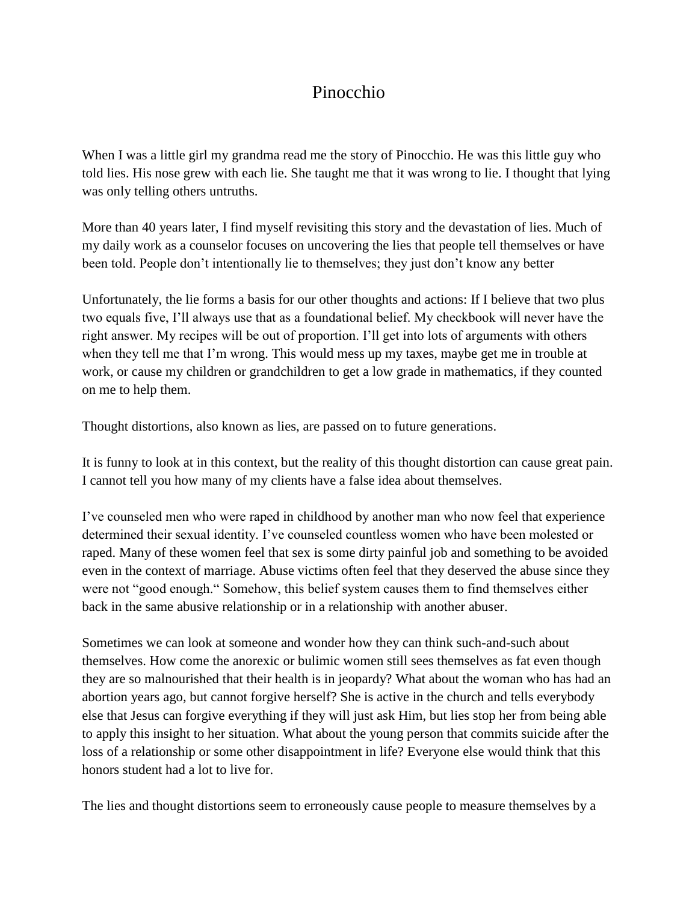## Pinocchio

When I was a little girl my grandma read me the story of Pinocchio. He was this little guy who told lies. His nose grew with each lie. She taught me that it was wrong to lie. I thought that lying was only telling others untruths.

More than 40 years later, I find myself revisiting this story and the devastation of lies. Much of my daily work as a counselor focuses on uncovering the lies that people tell themselves or have been told. People don't intentionally lie to themselves; they just don't know any better

Unfortunately, the lie forms a basis for our other thoughts and actions: If I believe that two plus two equals five, I'll always use that as a foundational belief. My checkbook will never have the right answer. My recipes will be out of proportion. I'll get into lots of arguments with others when they tell me that I'm wrong. This would mess up my taxes, maybe get me in trouble at work, or cause my children or grandchildren to get a low grade in mathematics, if they counted on me to help them.

Thought distortions, also known as lies, are passed on to future generations.

It is funny to look at in this context, but the reality of this thought distortion can cause great pain. I cannot tell you how many of my clients have a false idea about themselves.

I've counseled men who were raped in childhood by another man who now feel that experience determined their sexual identity. I've counseled countless women who have been molested or raped. Many of these women feel that sex is some dirty painful job and something to be avoided even in the context of marriage. Abuse victims often feel that they deserved the abuse since they were not "good enough." Somehow, this belief system causes them to find themselves either back in the same abusive relationship or in a relationship with another abuser.

Sometimes we can look at someone and wonder how they can think such-and-such about themselves. How come the anorexic or bulimic women still sees themselves as fat even though they are so malnourished that their health is in jeopardy? What about the woman who has had an abortion years ago, but cannot forgive herself? She is active in the church and tells everybody else that Jesus can forgive everything if they will just ask Him, but lies stop her from being able to apply this insight to her situation. What about the young person that commits suicide after the loss of a relationship or some other disappointment in life? Everyone else would think that this honors student had a lot to live for.

The lies and thought distortions seem to erroneously cause people to measure themselves by a